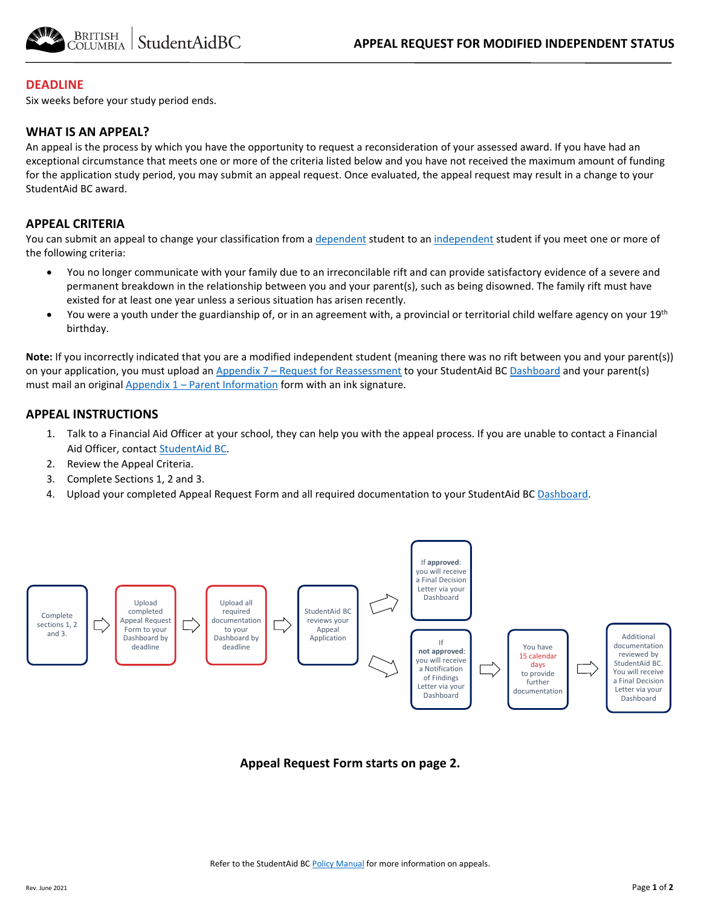

### **DEADLINE**

Six weeks before your study period ends.

### **WHAT IS AN APPEAL?**

An appeal is the process by which you have the opportunity to request a reconsideration of your assessed award. If you have had an exceptional circumstance that meets one or more of the criteria listed below and you have not received the maximum amount of funding for the application study period, you may submit an appeal request. Once evaluated, the appeal request may result in a change to your StudentAid BC award.

### **APPEAL CRITERIA**

You can submit an appeal to change your classification from a [dependent](https://studentaidbc.ca/apply/eligibility#residency) student to an [independent s](https://studentaidbc.ca/apply/eligibility#residency)tudent if you meet one or more of the following criteria:

- You no longer communicate with your family due to an irreconcilable rift and can provide satisfactory evidence of a severe and permanent breakdown in the relationship between you and your parent(s), such as being disowned. The family rift must have existed for at least one year unless a serious situation has arisen recently.
- You were a youth under the guardianship of, or in an agreement with, a provincial or territorial child welfare agency on your 19<sup>th</sup> birthday.

**Note:** If you incorrectly indicated that you are a modified independent student (meaning there was no rift between you and your parent(s)) on your application, you must upload an [Appendix 7 – Request for Reassessment](https://studentaidbc.ca/form-library) to your StudentAid B[C Dashboard](https://studentaidbc.ca/dashboard) and your parent(s) must mail an original  $\Delta$ ppendix  $1$  – Parent Information form with an ink signature.

#### **APPEAL INSTRUCTIONS**

- 1. Talk to a Financial Aid Officer at your school, they can help you with the appeal process. If you are unable to contact a Financial Aid Officer, contac[t StudentAid BC.](https://studentaidbc.ca/contact-information)
- 2. Review the Appeal Criteria.
- 3. Complete Sections 1, 2 and 3.
- 4. Upload your completed Appeal Request Form and all required documentation to your StudentAid BC [Dashboard.](https://studentaidbc.ca/dashboard)



**Appeal Request Form starts on page 2.**